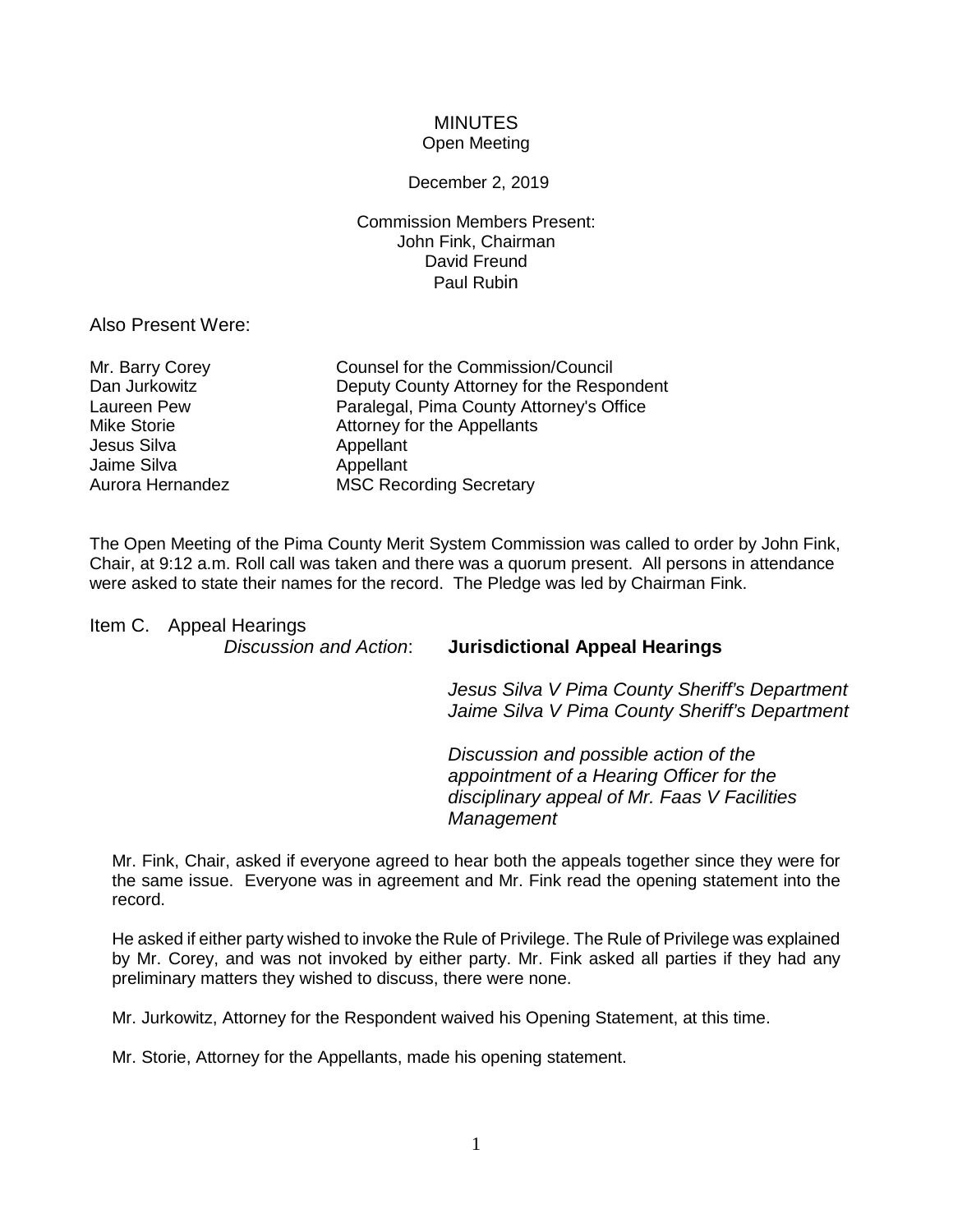## **MINUTES** Open Meeting

## December 2, 2019

Commission Members Present: John Fink, Chairman David Freund Paul Rubin

Also Present Were:

| Mr. Barry Corey  | Counsel for the Commission/Council        |
|------------------|-------------------------------------------|
| Dan Jurkowitz    | Deputy County Attorney for the Respondent |
| Laureen Pew      | Paralegal, Pima County Attorney's Office  |
| Mike Storie      | Attorney for the Appellants               |
| Jesus Silva      | Appellant                                 |
| Jaime Silva      | Appellant                                 |
| Aurora Hernandez | <b>MSC Recording Secretary</b>            |

The Open Meeting of the Pima County Merit System Commission was called to order by John Fink, Chair, at 9:12 a.m. Roll call was taken and there was a quorum present. All persons in attendance were asked to state their names for the record. The Pledge was led by Chairman Fink.

Item C. Appeal Hearings

## *Discussion and Action*: **Jurisdictional Appeal Hearings**

*Jesus Silva V Pima County Sheriff's Department Jaime Silva V Pima County Sheriff's Department*

*Discussion and possible action of the appointment of a Hearing Officer for the disciplinary appeal of Mr. Faas V Facilities Management*

Mr. Fink, Chair, asked if everyone agreed to hear both the appeals together since they were for the same issue. Everyone was in agreement and Mr. Fink read the opening statement into the record.

He asked if either party wished to invoke the Rule of Privilege. The Rule of Privilege was explained by Mr. Corey, and was not invoked by either party. Mr. Fink asked all parties if they had any preliminary matters they wished to discuss, there were none.

Mr. Jurkowitz, Attorney for the Respondent waived his Opening Statement, at this time.

Mr. Storie, Attorney for the Appellants, made his opening statement.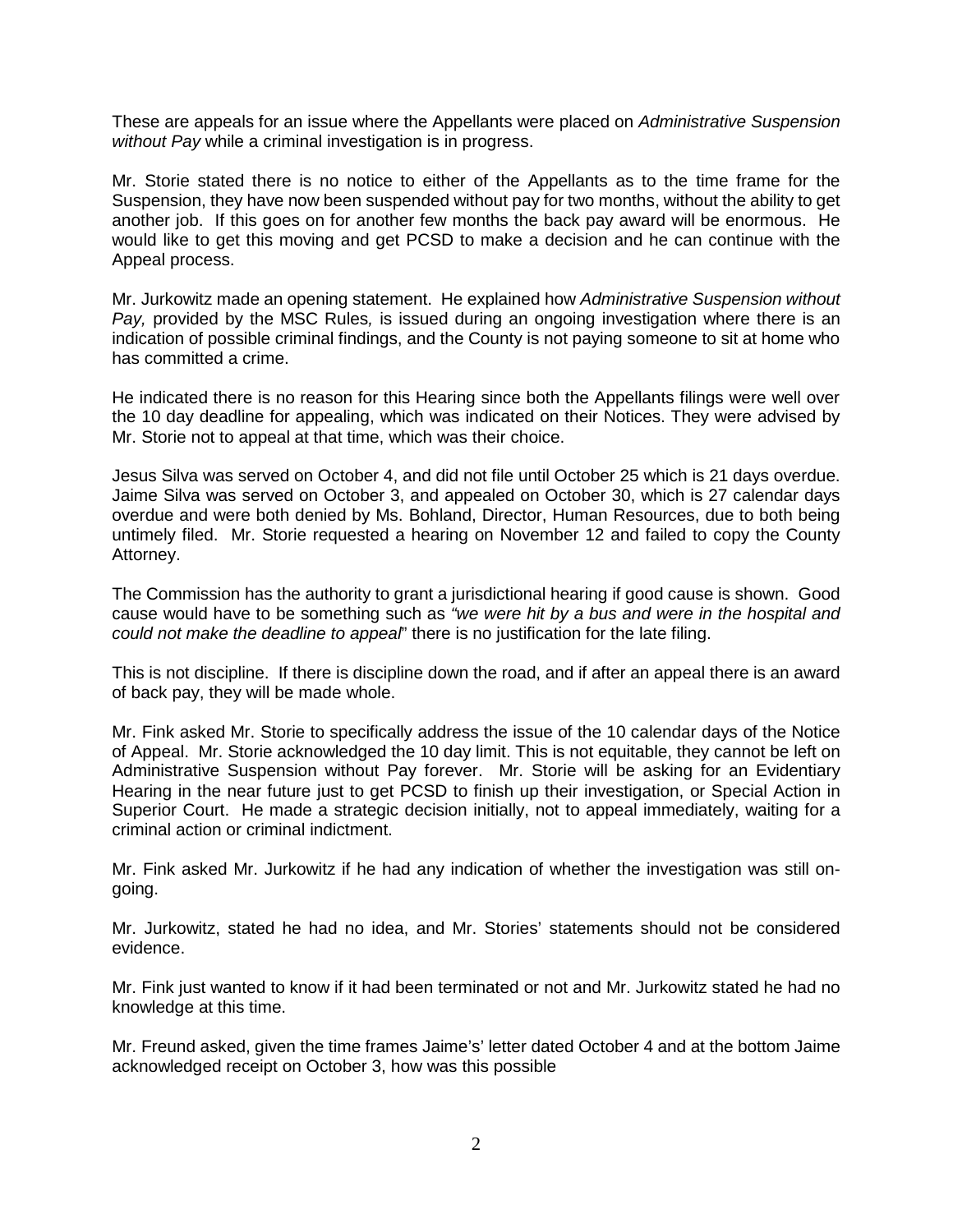These are appeals for an issue where the Appellants were placed on *Administrative Suspension without Pay* while a criminal investigation is in progress.

Mr. Storie stated there is no notice to either of the Appellants as to the time frame for the Suspension, they have now been suspended without pay for two months, without the ability to get another job. If this goes on for another few months the back pay award will be enormous. He would like to get this moving and get PCSD to make a decision and he can continue with the Appeal process.

Mr. Jurkowitz made an opening statement. He explained how *Administrative Suspension without Pay,* provided by the MSC Rules*,* is issued during an ongoing investigation where there is an indication of possible criminal findings, and the County is not paying someone to sit at home who has committed a crime.

He indicated there is no reason for this Hearing since both the Appellants filings were well over the 10 day deadline for appealing, which was indicated on their Notices. They were advised by Mr. Storie not to appeal at that time, which was their choice.

Jesus Silva was served on October 4, and did not file until October 25 which is 21 days overdue. Jaime Silva was served on October 3, and appealed on October 30, which is 27 calendar days overdue and were both denied by Ms. Bohland, Director, Human Resources, due to both being untimely filed. Mr. Storie requested a hearing on November 12 and failed to copy the County Attorney.

The Commission has the authority to grant a jurisdictional hearing if good cause is shown. Good cause would have to be something such as *"we were hit by a bus and were in the hospital and could not make the deadline to appeal*" there is no justification for the late filing.

This is not discipline. If there is discipline down the road, and if after an appeal there is an award of back pay, they will be made whole.

Mr. Fink asked Mr. Storie to specifically address the issue of the 10 calendar days of the Notice of Appeal. Mr. Storie acknowledged the 10 day limit. This is not equitable, they cannot be left on Administrative Suspension without Pay forever. Mr. Storie will be asking for an Evidentiary Hearing in the near future just to get PCSD to finish up their investigation, or Special Action in Superior Court. He made a strategic decision initially, not to appeal immediately, waiting for a criminal action or criminal indictment.

Mr. Fink asked Mr. Jurkowitz if he had any indication of whether the investigation was still ongoing.

Mr. Jurkowitz, stated he had no idea, and Mr. Stories' statements should not be considered evidence.

Mr. Fink just wanted to know if it had been terminated or not and Mr. Jurkowitz stated he had no knowledge at this time.

Mr. Freund asked, given the time frames Jaime's' letter dated October 4 and at the bottom Jaime acknowledged receipt on October 3, how was this possible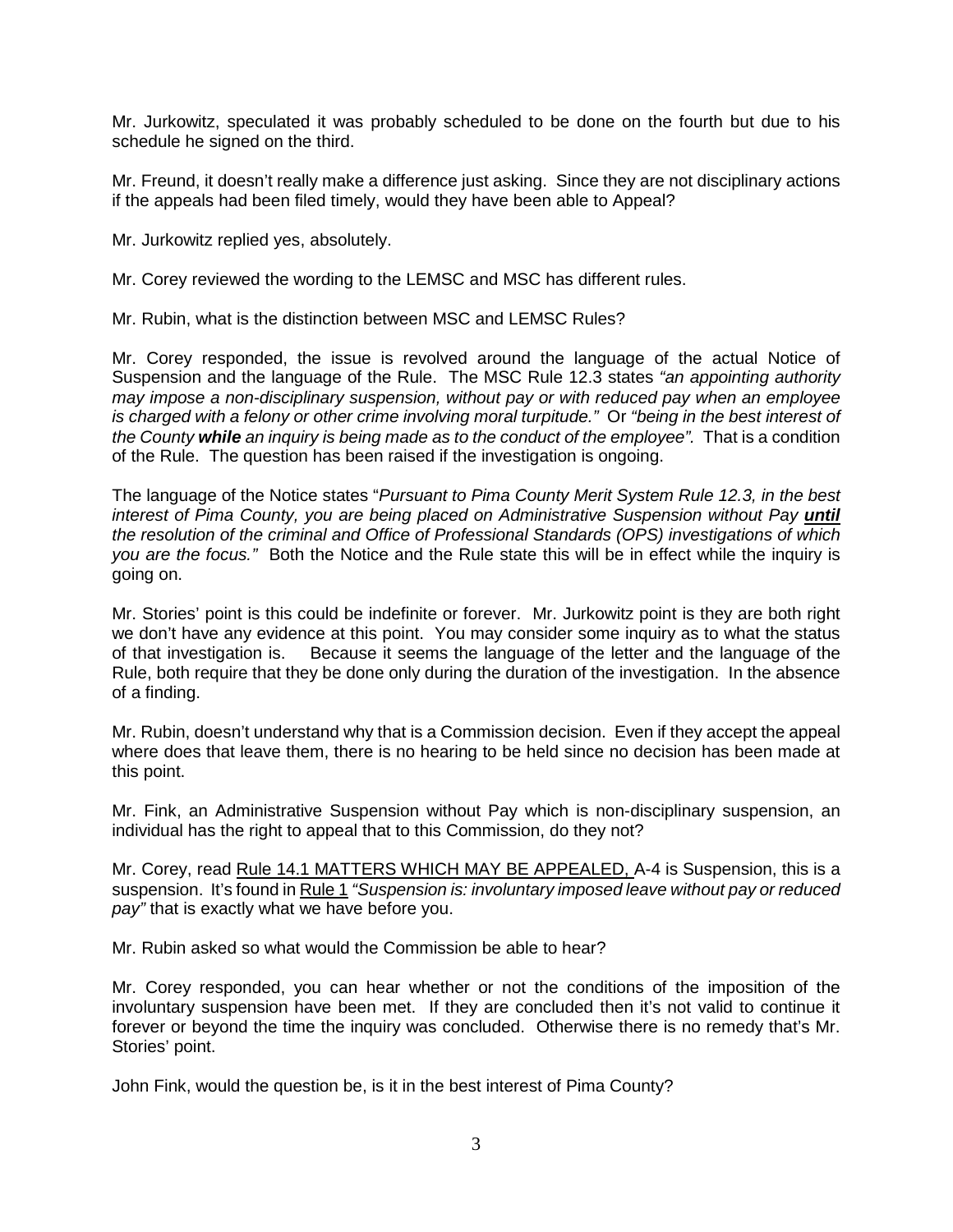Mr. Jurkowitz, speculated it was probably scheduled to be done on the fourth but due to his schedule he signed on the third.

Mr. Freund, it doesn't really make a difference just asking. Since they are not disciplinary actions if the appeals had been filed timely, would they have been able to Appeal?

Mr. Jurkowitz replied yes, absolutely.

Mr. Corey reviewed the wording to the LEMSC and MSC has different rules.

Mr. Rubin, what is the distinction between MSC and LEMSC Rules?

Mr. Corey responded, the issue is revolved around the language of the actual Notice of Suspension and the language of the Rule. The MSC Rule 12.3 states *"an appointing authority may impose a non-disciplinary suspension, without pay or with reduced pay when an employee is charged with a felony or other crime involving moral turpitude."* Or *"being in the best interest of the County while an inquiry is being made as to the conduct of the employee".* That is a condition of the Rule. The question has been raised if the investigation is ongoing.

The language of the Notice states "*Pursuant to Pima County Merit System Rule 12.3, in the best interest of Pima County, you are being placed on Administrative Suspension without Pay until the resolution of the criminal and Office of Professional Standards (OPS) investigations of which you are the focus."* Both the Notice and the Rule state this will be in effect while the inquiry is going on.

Mr. Stories' point is this could be indefinite or forever. Mr. Jurkowitz point is they are both right we don't have any evidence at this point. You may consider some inquiry as to what the status of that investigation is. Because it seems the language of the letter and the language of the Rule, both require that they be done only during the duration of the investigation. In the absence of a finding.

Mr. Rubin, doesn't understand why that is a Commission decision. Even if they accept the appeal where does that leave them, there is no hearing to be held since no decision has been made at this point.

Mr. Fink, an Administrative Suspension without Pay which is non-disciplinary suspension, an individual has the right to appeal that to this Commission, do they not?

Mr. Corey, read Rule 14.1 MATTERS WHICH MAY BE APPEALED, A-4 is Suspension, this is a suspension. It's found in Rule 1 *"Suspension is: involuntary imposed leave without pay or reduced pay"* that is exactly what we have before you.

Mr. Rubin asked so what would the Commission be able to hear?

Mr. Corey responded, you can hear whether or not the conditions of the imposition of the involuntary suspension have been met. If they are concluded then it's not valid to continue it forever or beyond the time the inquiry was concluded. Otherwise there is no remedy that's Mr. Stories' point.

John Fink, would the question be, is it in the best interest of Pima County?